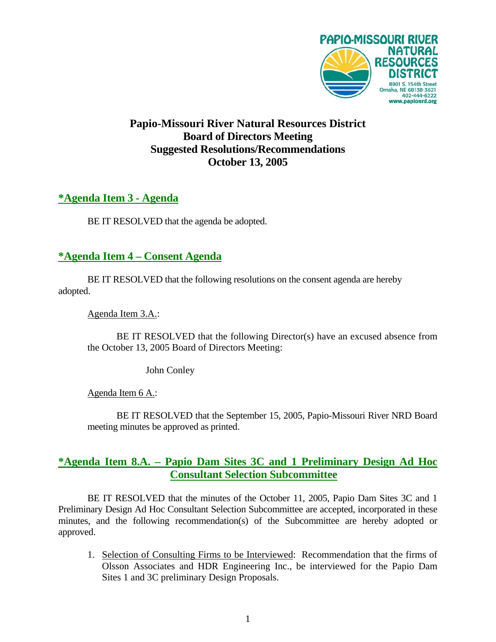

# **Papio-Missouri River Natural Resources District Board of Directors Meeting Suggested Resolutions/Recommendations October 13, 2005**

### **\*Agenda Item 3 - Agenda**

BE IT RESOLVED that the agenda be adopted.

## **\*Agenda Item 4 – Consent Agenda**

 BE IT RESOLVED that the following resolutions on the consent agenda are hereby adopted.

Agenda Item 3.A.:

 BE IT RESOLVED that the following Director(s) have an excused absence from the October 13, 2005 Board of Directors Meeting:

John Conley

Agenda Item 6 A.:

 BE IT RESOLVED that the September 15, 2005, Papio-Missouri River NRD Board meeting minutes be approved as printed.

## **\*Agenda Item 8.A. – Papio Dam Sites 3C and 1 Preliminary Design Ad Hoc Consultant Selection Subcommittee**

 BE IT RESOLVED that the minutes of the October 11, 2005, Papio Dam Sites 3C and 1 Preliminary Design Ad Hoc Consultant Selection Subcommittee are accepted, incorporated in these minutes, and the following recommendation(s) of the Subcommittee are hereby adopted or approved.

1. Selection of Consulting Firms to be Interviewed: Recommendation that the firms of Olsson Associates and HDR Engineering Inc., be interviewed for the Papio Dam Sites 1 and 3C preliminary Design Proposals.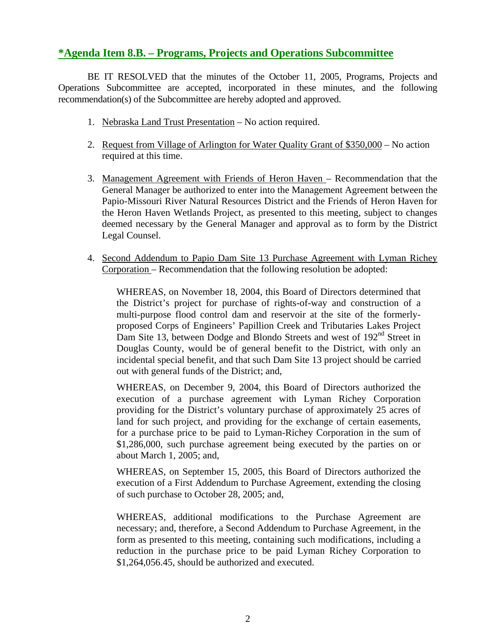#### **\*Agenda Item 8.B. – Programs, Projects and Operations Subcommittee**

 BE IT RESOLVED that the minutes of the October 11, 2005, Programs, Projects and Operations Subcommittee are accepted, incorporated in these minutes, and the following recommendation(s) of the Subcommittee are hereby adopted and approved.

- 1. Nebraska Land Trust Presentation No action required.
- 2. Request from Village of Arlington for Water Quality Grant of \$350,000 No action required at this time.
- 3. Management Agreement with Friends of Heron Haven Recommendation that the General Manager be authorized to enter into the Management Agreement between the Papio-Missouri River Natural Resources District and the Friends of Heron Haven for the Heron Haven Wetlands Project, as presented to this meeting, subject to changes deemed necessary by the General Manager and approval as to form by the District Legal Counsel.
- 4. Second Addendum to Papio Dam Site 13 Purchase Agreement with Lyman Richey Corporation – Recommendation that the following resolution be adopted:

WHEREAS, on November 18, 2004, this Board of Directors determined that the District's project for purchase of rights-of-way and construction of a multi-purpose flood control dam and reservoir at the site of the formerlyproposed Corps of Engineers' Papillion Creek and Tributaries Lakes Project Dam Site 13, between Dodge and Blondo Streets and west of 192<sup>nd</sup> Street in Douglas County, would be of general benefit to the District, with only an incidental special benefit, and that such Dam Site 13 project should be carried out with general funds of the District; and,

WHEREAS, on December 9, 2004, this Board of Directors authorized the execution of a purchase agreement with Lyman Richey Corporation providing for the District's voluntary purchase of approximately 25 acres of land for such project, and providing for the exchange of certain easements, for a purchase price to be paid to Lyman-Richey Corporation in the sum of \$1,286,000, such purchase agreement being executed by the parties on or about March 1, 2005; and,

WHEREAS, on September 15, 2005, this Board of Directors authorized the execution of a First Addendum to Purchase Agreement, extending the closing of such purchase to October 28, 2005; and,

WHEREAS, additional modifications to the Purchase Agreement are necessary; and, therefore, a Second Addendum to Purchase Agreement, in the form as presented to this meeting, containing such modifications, including a reduction in the purchase price to be paid Lyman Richey Corporation to \$1,264,056.45, should be authorized and executed.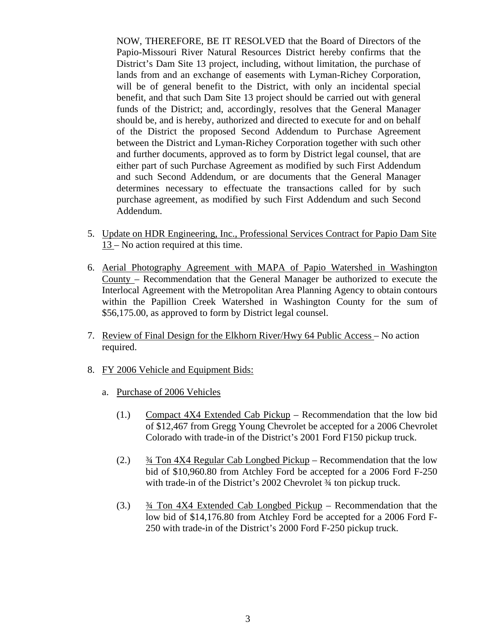NOW, THEREFORE, BE IT RESOLVED that the Board of Directors of the Papio-Missouri River Natural Resources District hereby confirms that the District's Dam Site 13 project, including, without limitation, the purchase of lands from and an exchange of easements with Lyman-Richey Corporation, will be of general benefit to the District, with only an incidental special benefit, and that such Dam Site 13 project should be carried out with general funds of the District; and, accordingly, resolves that the General Manager should be, and is hereby, authorized and directed to execute for and on behalf of the District the proposed Second Addendum to Purchase Agreement between the District and Lyman-Richey Corporation together with such other and further documents, approved as to form by District legal counsel, that are either part of such Purchase Agreement as modified by such First Addendum and such Second Addendum, or are documents that the General Manager determines necessary to effectuate the transactions called for by such purchase agreement, as modified by such First Addendum and such Second Addendum.

- 5. Update on HDR Engineering, Inc., Professional Services Contract for Papio Dam Site 13 – No action required at this time.
- 6. Aerial Photography Agreement with MAPA of Papio Watershed in Washington County – Recommendation that the General Manager be authorized to execute the Interlocal Agreement with the Metropolitan Area Planning Agency to obtain contours within the Papillion Creek Watershed in Washington County for the sum of \$56,175.00, as approved to form by District legal counsel.
- 7. Review of Final Design for the Elkhorn River/Hwy 64 Public Access No action required.
- 8. FY 2006 Vehicle and Equipment Bids:
	- a. Purchase of 2006 Vehicles
		- (1.) Compact 4X4 Extended Cab Pickup Recommendation that the low bid of \$12,467 from Gregg Young Chevrolet be accepted for a 2006 Chevrolet Colorado with trade-in of the District's 2001 Ford F150 pickup truck.
		- (2.) ¾ Ton 4X4 Regular Cab Longbed Pickup Recommendation that the low bid of \$10,960.80 from Atchley Ford be accepted for a 2006 Ford F-250 with trade-in of the District's 2002 Chevrolet ¾ ton pickup truck.
		- (3.)  $\frac{3}{4}$  Ton 4X4 Extended Cab Longbed Pickup Recommendation that the low bid of \$14,176.80 from Atchley Ford be accepted for a 2006 Ford F-250 with trade-in of the District's 2000 Ford F-250 pickup truck.